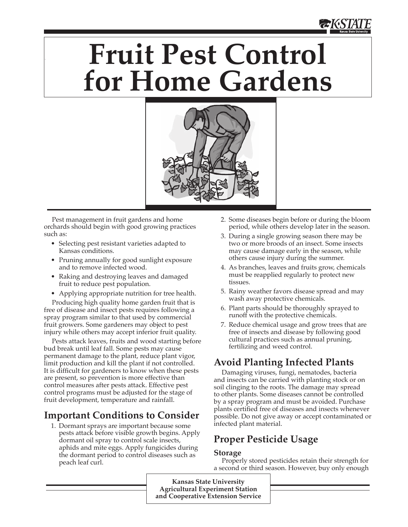# **Fruit Pest Control for Home Gardens**



Pest management in fruit gardens and home orchards should begin with good growing practices such as:

- Selecting pest resistant varieties adapted to Kansas conditions.
- Pruning annually for good sunlight exposure and to remove infected wood.
- Raking and destroying leaves and damaged fruit to reduce pest population.
- Applying appropriate nutrition for tree health.

Producing high quality home garden fruit that is free of disease and insect pests requires following a spray program similar to that used by commercial fruit growers. Some gardeners may object to pest injury while others may accept inferior fruit quality.

Pests attack leaves, fruits and wood starting before bud break until leaf fall. Some pests may cause permanent damage to the plant, reduce plant vigor, limit production and kill the plant if not controlled. It is difficult for gardeners to know when these pests are present, so prevention is more effective than control measures after pests attack. Effective pest control programs must be adjusted for the stage of fruit development, temperature and rainfall.

# **Important Conditions to Consider**

1. Dormant sprays are important because some pests attack before visible growth begins. Apply dormant oil spray to control scale insects, aphids and mite eggs. Apply fungicides during the dormant period to control diseases such as peach leaf curl.

- 2. Some diseases begin before or during the bloom period, while others develop later in the season.
- 3. During a single growing season there may be two or more broods of an insect. Some insects may cause damage early in the season, while others cause injury during the summer.
- 4. As branches, leaves and fruits grow, chemicals must be reapplied regularly to protect new tissues.
- 5. Rainy weather favors disease spread and may wash away protective chemicals.
- 6. Plant parts should be thoroughly sprayed to runoff with the protective chemicals.
- 7. Reduce chemical usage and grow trees that are free of insects and disease by following good cultural practices such as annual pruning, fertilizing and weed control.

# **Avoid Planting Infected Plants**

Damaging viruses, fungi, nematodes, bacteria and insects can be carried with planting stock or on soil clinging to the roots. The damage may spread to other plants. Some diseases cannot be controlled by a spray program and must be avoided. Purchase plants certified free of diseases and insects whenever possible. Do not give away or accept contaminated or infected plant material.

# **Proper Pesticide Usage**

## **Storage**

Properly stored pesticides retain their strength for a second or third season. However, buy only enough

**Kansas State University Agricultural Experiment Station and Cooperative Extension Service**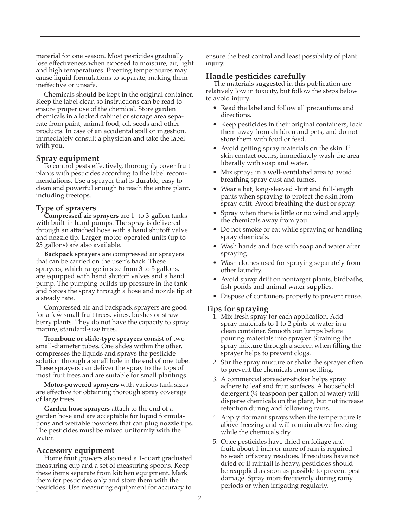material for one season. Most pesticides gradually lose effectiveness when exposed to moisture, air, light and high temperatures. Freezing temperatures may cause liquid formulations to separate, making them ineffective or unsafe.

Chemicals should be kept in the original container. Keep the label clean so instructions can be read to ensure proper use of the chemical. Store garden chemicals in a locked cabinet or storage area separate from paint, animal food, oil, seeds and other products. In case of an accidental spill or ingestion, immediately consult a physician and take the label with you.

## **Spray equipment**

To control pests effectively, thoroughly cover fruit plants with pesticides according to the label recommendations. Use a sprayer that is durable, easy to clean and powerful enough to reach the entire plant, including treetops.

## **Type of sprayers**

**Compressed air sprayers** are 1- to 3-gallon tanks with built-in hand pumps. The spray is delivered through an attached hose with a hand shutoff valve and nozzle tip. Larger, motor-operated units (up to 25 gallons) are also available.

**Backpack sprayers** are compressed air sprayers that can be carried on the user's back. These sprayers, which range in size from 3 to 5 gallons, are equipped with hand shutoff valves and a hand pump. The pumping builds up pressure in the tank and forces the spray through a hose and nozzle tip at a steady rate.

Compressed air and backpack sprayers are good for a few small fruit trees, vines, bushes or strawberry plants. They do not have the capacity to spray mature, standard-size trees.

**Trombone or slide-type sprayers** consist of two small-diameter tubes. One slides within the other, compresses the liquids and sprays the pesticide solution through a small hole in the end of one tube. These sprayers can deliver the spray to the tops of most fruit trees and are suitable for small plantings.

**Motor-powered sprayers** with various tank sizes are effective for obtaining thorough spray coverage of large trees.

**Garden hose sprayers** attach to the end of a garden hose and are acceptable for liquid formulations and wettable powders that can plug nozzle tips. The pesticides must be mixed uniformly with the water.

## **Accessory equipment**

Home fruit growers also need a 1-quart graduated measuring cup and a set of measuring spoons. Keep these items separate from kitchen equipment. Mark them for pesticides only and store them with the pesticides. Use measuring equipment for accuracy to ensure the best control and least possibility of plant injury.

## **Handle pesticides carefully**

The materials suggested in this publication are relatively low in toxicity, but follow the steps below to avoid injury.

- Read the label and follow all precautions and directions.
- Keep pesticides in their original containers, lock them away from children and pets, and do not store them with food or feed.
- Avoid getting spray materials on the skin. If skin contact occurs, immediately wash the area liberally with soap and water.
- Mix sprays in a well-ventilated area to avoid breathing spray dust and fumes.
- Wear a hat, long-sleeved shirt and full-length pants when spraying to protect the skin from spray drift. Avoid breathing the dust or spray.
- Spray when there is little or no wind and apply the chemicals away from you.
- Do not smoke or eat while spraying or handling spray chemicals.
- Wash hands and face with soap and water after spraying.
- Wash clothes used for spraying separately from other laundry.
- Avoid spray drift on nontarget plants, birdbaths, fish ponds and animal water supplies.
- Dispose of containers properly to prevent reuse.

## **Tips for spraying**

- 1. Mix fresh spray for each application. Add spray materials to 1 to 2 pints of water in a clean container. Smooth out lumps before pouring materials into sprayer. Straining the spray mixture through a screen when filling the sprayer helps to prevent clogs.
- 2. Stir the spray mixture or shake the sprayer often to prevent the chemicals from settling.
- 3. A commercial spreader-sticker helps spray adhere to leaf and fruit surfaces. A household detergent (¼ teaspoon per gallon of water) will disperse chemicals on the plant, but not increase retention during and following rains.
- 4. Apply dormant sprays when the temperature is above freezing and will remain above freezing while the chemicals dry.
- 5. Once pesticides have dried on foliage and fruit, about 1 inch or more of rain is required to wash off spray residues. If residues have not dried or if rainfall is heavy, pesticides should be reapplied as soon as possible to prevent pest damage. Spray more frequently during rainy periods or when irrigating regularly.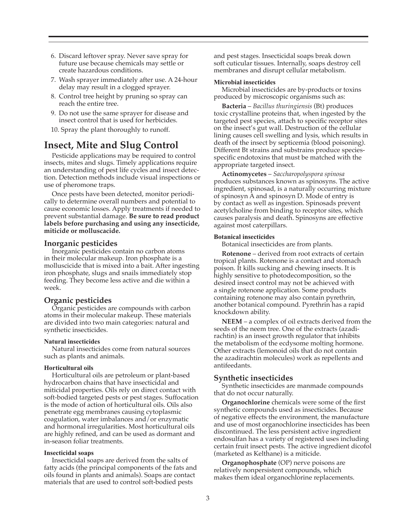- 6. Discard leftover spray. Never save spray for future use because chemicals may settle or create hazardous conditions.
- 7. Wash sprayer immediately after use. A 24-hour delay may result in a clogged sprayer.
- 8. Control tree height by pruning so spray can reach the entire tree.
- 9. Do not use the same sprayer for disease and insect control that is used for herbicides.
- 10. Spray the plant thoroughly to runoff.

## **Insect, Mite and Slug Control**

Pesticide applications may be required to control insects, mites and slugs. Timely applications require an understanding of pest life cycles and insect detection. Detection methods include visual inspections or use of pheromone traps.

Once pests have been detected, monitor periodically to determine overall numbers and potential to cause economic losses. Apply treatments if needed to prevent substantial damage. **Be sure to read product labels before purchasing and using any insecticide, miticide or molluscacide.**

#### **Inorganic pesticides**

Inorganic pesticides contain no carbon atoms in their molecular makeup. Iron phosphate is a molluscicide that is mixed into a bait. After ingesting iron phosphate, slugs and snails immediately stop feeding. They become less active and die within a week.

## **Organic pesticides**

Organic pesticides are compounds with carbon atoms in their molecular makeup. These materials are divided into two main categories: natural and synthetic insecticides.

#### **Natural insecticides**

Natural insecticides come from natural sources such as plants and animals.

#### **Horticultural oils**

Horticultural oils are petroleum or plant-based hydrocarbon chains that have insecticidal and miticidal properties. Oils rely on direct contact with soft-bodied targeted pests or pest stages. Suffocation is the mode of action of horticultural oils. Oils also penetrate egg membranes causing cytoplasmic coagulation, water imbalances and/or enzymatic and hormonal irregularities. Most horticultural oils are highly refined, and can be used as dormant and in-season foliar treatments.

#### **Insecticidal soaps**

Insecticidal soaps are derived from the salts of fatty acids (the principal components of the fats and oils found in plants and animals). Soaps are contact materials that are used to control soft-bodied pests

and pest stages. Insecticidal soaps break down soft cuticular tissues. Internally, soaps destroy cell membranes and disrupt cellular metabolism.

#### **Microbial insecticides**

Microbial insecticides are by-products or toxins produced by microscopic organisms such as:

**Bacteria** – *Bacillus thuringiensis* (Bt) produces toxic crystalline proteins that, when ingested by the targeted pest species, attach to specific receptor sites on the insect's gut wall. Destruction of the cellular lining causes cell swelling and lysis, which results in death of the insect by septicemia (blood poisoning). Different Bt strains and substrains produce speciesspecific endotoxins that must be matched with the appropriate targeted insect.

**Actinomycetes** – *Saccharopolyspora spinosa* produces substances known as spinosyns. The active ingredient, spinosad, is a naturally occurring mixture of spinosyn A and spinosyn D. Mode of entry is by contact as well as ingestion. Spinosads prevent acetylcholine from binding to receptor sites, which causes paralysis and death. Spinosyns are effective against most caterpillars.

#### **Botanical insecticides**

Botanical insecticides are from plants.

**Rotenone** – derived from root extracts of certain tropical plants. Rotenone is a contact and stomach poison. It kills sucking and chewing insects. It is highly sensitive to photodecomposition, so the desired insect control may not be achieved with a single rotenone application. Some products containing rotenone may also contain pyrethrin, another botanical compound. Pyrethrin has a rapid knockdown ability.

**NEEM** – a complex of oil extracts derived from the seeds of the neem tree. One of the extracts (azadirachtin) is an insect growth regulator that inhibits the metabolism of the ecdysome molting hormone. Other extracts (lemonoid oils that do not contain the azadirachtin molecules) work as repellents and antifeedants.

#### **Synthetic insecticides**

Synthetic insecticides are manmade compounds that do not occur naturally.

**Organochlorine** chemicals were some of the first synthetic compounds used as insecticides. Because of negative effects the environment, the manufacture and use of most organochlorine insecticides has been discontinued. The less persistent active ingredient endosulfan has a variety of registered uses including certain fruit insect pests. The active ingredient dicofol (marketed as Kelthane) is a miticide.

**Organophosphate** (OP) nerve poisons are relatively nonpersistent compounds, which makes them ideal organochlorine replacements.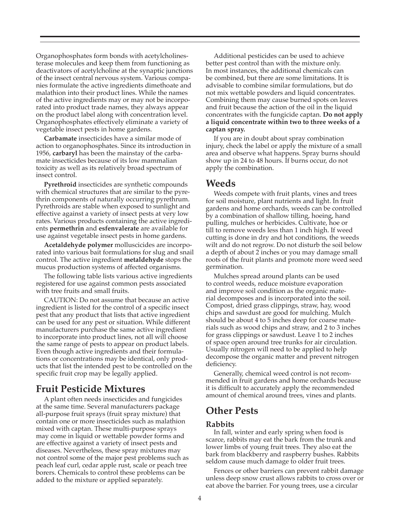Organophosphates form bonds with acetylcholinesterase molecules and keep them from functioning as deactivators of acetylcholine at the synaptic junctions of the insect central nervous system. Various companies formulate the active ingredients dimethoate and malathion into their product lines. While the names of the active ingredients may or may not be incorporated into product trade names, they always appear on the product label along with concentration level. Organophosphates effectively eliminate a variety of vegetable insect pests in home gardens.

**Carbamate** insecticides have a similar mode of action to organophosphates. Since its introduction in 1956, **carbaryl** has been the mainstay of the carbamate insecticides because of its low mammalian toxicity as well as its relatively broad spectrum of insect control.

**Pyrethroid** insecticides are synthetic compounds with chemical structures that are similar to the pyrethrin components of naturally occurring pyrethrum. Pyrethroids are stable when exposed to sunlight and effective against a variety of insect pests at very low rates. Various products containing the active ingredients **permethrin** and **esfenvalerate** are available for use against vegetable insect pests in home gardens.

**Acetaldehyde polymer** molluscicides are incorporated into various bait formulations for slug and snail control. The active ingredient **metaldehyde** stops the mucus production systems of affected organisms.

The following table lists various active ingredients registered for use against common pests associated with tree fruits and small fruits.

CAUTION: Do not assume that because an active ingredient is listed for the control of a specific insect pest that any product that lists that active ingredient can be used for any pest or situation. While different manufacturers purchase the same active ingredient to incorporate into product lines, not all will choose the same range of pests to appear on product labels. Even though active ingredients and their formulations or concentrations may be identical, only products that list the intended pest to be controlled on the specific fruit crop may be legally applied.

## **Fruit Pesticide Mixtures**

A plant often needs insecticides and fungicides at the same time. Several manufacturers package all-purpose fruit sprays (fruit spray mixture) that contain one or more insecticides such as malathion mixed with captan. These multi-purpose sprays may come in liquid or wettable powder forms and are effective against a variety of insect pests and diseases. Nevertheless, these spray mixtures may not control some of the major pest problems such as peach leaf curl, cedar apple rust, scale or peach tree borers. Chemicals to control these problems can be added to the mixture or applied separately.

Additional pesticides can be used to achieve better pest control than with the mixture only. In most instances, the additional chemicals can be combined, but there are some limitations. It is advisable to combine similar formulations, but do not mix wettable powders and liquid concentrates. Combining them may cause burned spots on leaves and fruit because the action of the oil in the liquid concentrates with the fungicide captan. **Do not apply a liquid concentrate within two to three weeks of a captan spray.**

If you are in doubt about spray combination injury, check the label or apply the mixture of a small area and observe what happens. Spray burns should show up in 24 to 48 hours. If burns occur, do not apply the combination.

## **Weeds**

Weeds compete with fruit plants, vines and trees for soil moisture, plant nutrients and light. In fruit gardens and home orchards, weeds can be controlled by a combination of shallow tilling, hoeing, hand pulling, mulches or herbicides. Cultivate, hoe or till to remove weeds less than 1 inch high. If weed cutting is done in dry and hot conditions, the weeds wilt and do not regrow. Do not disturb the soil below a depth of about 2 inches or you may damage small roots of the fruit plants and promote more weed seed germination.

Mulches spread around plants can be used to control weeds, reduce moisture evaporation and improve soil condition as the organic material decomposes and is incorporated into the soil. Compost, dried grass clippings, straw, hay, wood chips and sawdust are good for mulching. Mulch should be about 4 to 5 inches deep for coarse materials such as wood chips and straw, and 2 to 3 inches for grass clippings or sawdust. Leave 1 to 2 inches of space open around tree trunks for air circulation. Usually nitrogen will need to be applied to help decompose the organic matter and prevent nitrogen deficiency.

Generally, chemical weed control is not recommended in fruit gardens and home orchards because it is difficult to accurately apply the recommended amount of chemical around trees, vines and plants.

# **Other Pests**

## **Rabbits**

In fall, winter and early spring when food is scarce, rabbits may eat the bark from the trunk and lower limbs of young fruit trees. They also eat the bark from blackberry and raspberry bushes. Rabbits seldom cause much damage to older fruit trees.

Fences or other barriers can prevent rabbit damage unless deep snow crust allows rabbits to cross over or eat above the barrier. For young trees, use a circular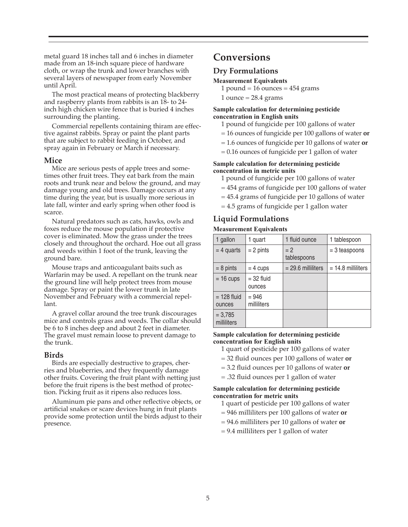metal guard 18 inches tall and 6 inches in diameter made from an 18-inch square piece of hardware cloth, or wrap the trunk and lower branches with several layers of newspaper from early November until April.

The most practical means of protecting blackberry and raspberry plants from rabbits is an 18- to 24 inch high chicken wire fence that is buried 4 inches surrounding the planting.

Commercial repellents containing thiram are effective against rabbits. Spray or paint the plant parts that are subject to rabbit feeding in October, and spray again in February or March if necessary.

## **Mice**

Mice are serious pests of apple trees and sometimes other fruit trees. They eat bark from the main roots and trunk near and below the ground, and may damage young and old trees. Damage occurs at any time during the year, but is usually more serious in late fall, winter and early spring when other food is scarce.

Natural predators such as cats, hawks, owls and foxes reduce the mouse population if protective cover is eliminated. Mow the grass under the trees closely and throughout the orchard. Hoe out all grass and weeds within 1 foot of the trunk, leaving the ground bare.

Mouse traps and anticoagulant baits such as Warfarin may be used. A repellant on the trunk near the ground line will help protect trees from mouse damage. Spray or paint the lower trunk in late November and February with a commercial repellant.

A gravel collar around the tree trunk discourages mice and controls grass and weeds. The collar should be 6 to 8 inches deep and about 2 feet in diameter. The gravel must remain loose to prevent damage to the trunk.

## **Birds**

Birds are especially destructive to grapes, cherries and blueberries, and they frequently damage other fruits. Covering the fruit plant with netting just before the fruit ripens is the best method of protection. Picking fruit as it ripens also reduces loss.

Aluminum pie pans and other reflective objects, or artificial snakes or scare devices hung in fruit plants provide some protection until the birds adjust to their presence.

# **Conversions**

## **Dry Formulations**

## **Measurement Equivalents**

- 1 pound  $= 16$  ounces  $= 454$  grams
- $1$  ounce  $= 28.4$  grams

## **Sample calculation for determining pesticide concentration in English units**

- 1 pound of fungicide per 100 gallons of water
- = 16 ounces of fungicide per 100 gallons of water **or**
- = 1.6 ounces of fungicide per 10 gallons of water **or**
- = 0.16 ounces of fungicide per 1 gallon of water

#### **Sample calculation for determining pesticide concentration in metric units**

- 1 pound of fungicide per 100 gallons of water
- = 454 grams of fungicide per 100 gallons of water
- = 45.4 grams of fungicide per 10 gallons of water
- = 4.5 grams of fungicide per 1 gallon water

# **Liquid Formulations**

## **Measurement Equivalents**

| gallon                   | 1 quart                | 1 fluid ounce        | 1 tablespoon         |
|--------------------------|------------------------|----------------------|----------------------|
| $= 4$ quarts             | $= 2$ pints            | $= 2$<br>tablespoons | $=$ 3 teaspoons      |
| $= 8$ pints              | $= 4$ cups             | $= 29.6$ milliliters | $= 14.8$ milliliters |
| $= 16$ cups              | $=$ 32 fluid<br>ounces |                      |                      |
| $= 128$ fluid<br>ounces  | $= 946$<br>milliliters |                      |                      |
| $= 3,785$<br>milliliters |                        |                      |                      |

#### **Sample calculation for determining pesticide concentration for English units**

- 1 quart of pesticide per 100 gallons of water
- = 32 fluid ounces per 100 gallons of water **or**
- = 3.2 fluid ounces per 10 gallons of water **or**
- = .32 fluid ounces per 1 gallon of water

## **Sample calculation for determining pesticide concentration for metric units**

- 1 quart of pesticide per 100 gallons of water
- = 946 milliliters per 100 gallons of water **or**
- = 94.6 milliliters per 10 gallons of water **or**
- = 9.4 milliliters per 1 gallon of water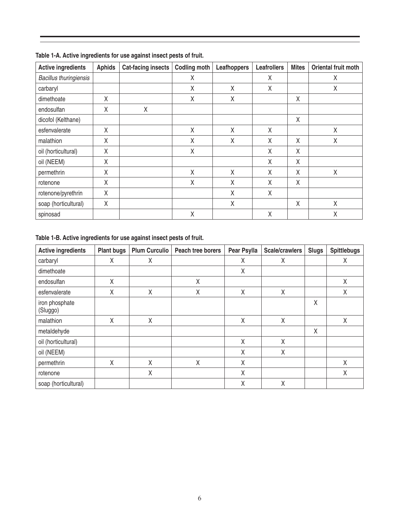| <b>Active ingredients</b>     | <b>Aphids</b> | <b>Cat-facing insects</b> | <b>Codling moth</b> | Leafhoppers | <b>Leafrollers</b> | <b>Mites</b> | Oriental fruit moth |
|-------------------------------|---------------|---------------------------|---------------------|-------------|--------------------|--------------|---------------------|
| <b>Bacillus thuringiensis</b> |               |                           | X                   |             | X                  |              | Χ                   |
| carbaryl                      |               |                           | χ                   | X           | χ                  |              | Χ                   |
| dimethoate                    | Χ             |                           | Χ                   | Χ           |                    | Χ            |                     |
| endosulfan                    | Χ             | Χ                         |                     |             |                    |              |                     |
| dicofol (Kelthane)            |               |                           |                     |             |                    | X            |                     |
| esfenvalerate                 | X             |                           | X                   | X           | X                  |              | X                   |
| malathion                     | Χ             |                           | Χ                   | X           | X                  | X            | Χ                   |
| oil (horticultural)           | Χ             |                           | χ                   |             | X                  | Χ            |                     |
| oil (NEEM)                    | Χ             |                           |                     |             | X                  | X            |                     |
| permethrin                    | Χ             |                           | χ                   | X           | X                  | χ            | X                   |
| rotenone                      | Χ             |                           | Χ                   | Χ           | χ                  | Χ            |                     |
| rotenone/pyrethrin            | X             |                           |                     | X           | χ                  |              |                     |
| soap (horticultural)          | Χ             |                           |                     | Χ           |                    | Χ            | X                   |
| spinosad                      |               |                           | Χ                   |             | χ                  |              | X                   |

**Table 1-A. Active ingredients for use against insect pests of fruit.** 

## **Table 1-B. Active ingredients for use against insect pests of fruit.**

| <b>Active ingredients</b>  | <b>Plant bugs</b> | <b>Plum Curculio</b> | Peach tree borers | Pear Psylla | <b>Scale/crawlers</b> | <b>Slugs</b> | <b>Spittlebugs</b> |
|----------------------------|-------------------|----------------------|-------------------|-------------|-----------------------|--------------|--------------------|
| carbaryl                   | Χ                 | Χ                    |                   | X           | Χ                     |              | χ                  |
| dimethoate                 |                   |                      |                   | χ           |                       |              |                    |
| endosulfan                 | Χ                 |                      | Χ                 |             |                       |              | Χ                  |
| esfenvalerate              | Χ                 | Χ                    | Χ                 | χ           | Χ                     |              | X                  |
| iron phosphate<br>(Sluggo) |                   |                      |                   |             |                       | X            |                    |
| malathion                  | Χ                 | X                    |                   | X           | Χ                     |              | X                  |
| metaldehyde                |                   |                      |                   |             |                       | Χ            |                    |
| oil (horticultural)        |                   |                      |                   | X           | X                     |              |                    |
| oil (NEEM)                 |                   |                      |                   | X           | Χ                     |              |                    |
| permethrin                 | X                 | Χ                    | X                 | χ           |                       |              | Χ                  |
| rotenone                   |                   | χ                    |                   | X           |                       |              | X                  |
| soap (horticultural)       |                   |                      |                   | χ           | Χ                     |              |                    |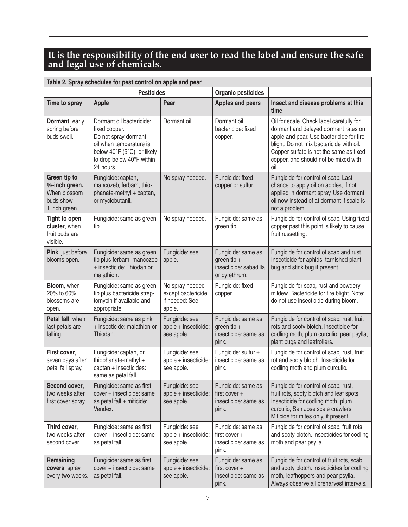## **It is the responsibility of the end user to read the label and ensure the safe and legal use of chemicals.**

| Table 2. Spray schedules for pest control on apple and pear                                |                                                                                                                                                                       |                                                                   |                                                                                |                                                                                                                                                                                                                                                                     |  |  |  |
|--------------------------------------------------------------------------------------------|-----------------------------------------------------------------------------------------------------------------------------------------------------------------------|-------------------------------------------------------------------|--------------------------------------------------------------------------------|---------------------------------------------------------------------------------------------------------------------------------------------------------------------------------------------------------------------------------------------------------------------|--|--|--|
|                                                                                            | <b>Pesticides</b>                                                                                                                                                     |                                                                   | <b>Organic pesticides</b>                                                      |                                                                                                                                                                                                                                                                     |  |  |  |
| Time to spray                                                                              | <b>Apple</b>                                                                                                                                                          | Pear                                                              | <b>Apples and pears</b>                                                        | Insect and disease problems at this<br>time                                                                                                                                                                                                                         |  |  |  |
| Dormant, early<br>spring before<br>buds swell.                                             | Dormant oil bactericide:<br>fixed copper.<br>Do not spray dormant<br>oil when temperature is<br>below 40°F (5°C), or likely<br>to drop below 40°F within<br>24 hours. | Dormant oil                                                       | Dormant oil<br>bactericide: fixed<br>copper.                                   | Oil for scale. Check label carefully for<br>dormant and delayed dormant rates on<br>apple and pear. Use bactericide for fire<br>blight. Do not mix bactericide with oil.<br>Copper sulfate is not the same as fixed<br>copper, and should not be mixed with<br>oil. |  |  |  |
| Green tip to<br>1/ <sub>2</sub> -inch green.<br>When blossom<br>buds show<br>1 inch green. | Fungicide: captan,<br>mancozeb, ferbam, thio-<br>phanate-methyl + captan,<br>or myclobutanil.                                                                         | No spray needed.                                                  | Fungicide: fixed<br>copper or sulfur.                                          | Fungicide for control of scab. Last<br>chance to apply oil on apples, if not<br>applied in dormant spray. Use dormant<br>oil now instead of at dormant if scale is<br>not a problem.                                                                                |  |  |  |
| <b>Tight to open</b><br>cluster, when<br>fruit buds are<br>visible.                        | Fungicide: same as green<br>tip.                                                                                                                                      | No spray needed.                                                  | Fungicide: same as<br>green tip.                                               | Fungicide for control of scab. Using fixed<br>copper past this point is likely to cause<br>fruit russetting.                                                                                                                                                        |  |  |  |
| Pink, just before<br>blooms open.                                                          | Fungicide: same as green<br>tip plus ferbam, mancozeb<br>+ insecticide: Thiodan or<br>malathion.                                                                      | Fungicide: see<br>apple.                                          | Fungicide: same as<br>green tip $+$<br>insecticide: sabadilla<br>or pyrethrum. | Fungicide for control of scab and rust.<br>Insecticide for aphids, tarnished plant<br>bug and stink bug if present.                                                                                                                                                 |  |  |  |
| Bloom, when<br>20% to 60%<br>blossoms are<br>open.                                         | Fungicide: same as green<br>tip plus bactericide strep-<br>tomycin if available and<br>appropriate.                                                                   | No spray needed<br>except bactericide<br>if needed: See<br>apple. | Fungicide: fixed<br>copper.                                                    | Fungicide for scab, rust and powdery<br>mildew. Bactericide for fire blight. Note:<br>do not use insecticide during bloom.                                                                                                                                          |  |  |  |
| Petal fall, when<br>last petals are<br>falling.                                            | Fungicide: same as pink<br>+ insecticide: malathion or<br>Thiodan.                                                                                                    | Fungicide: see<br>apple + insecticide:<br>see apple.              | Fungicide: same as<br>green tip $+$<br>insecticide: same as<br>pink.           | Fungicide for control of scab, rust, fruit<br>rots and sooty blotch. Insecticide for<br>codling moth, plum curculio, pear psylla,<br>plant bugs and leafrollers.                                                                                                    |  |  |  |
| First cover,<br>seven days after<br>petal fall spray.                                      | Fungicide: captan, or<br>thiophanate-methyl +<br>captan + insecticides:<br>same as petal fall.                                                                        | Fungicide: see<br>apple + insecticide:<br>see apple.              | Fungicide: sulfur +<br>insecticide: same as<br>pink.                           | Fungicide for control of scab, rust, fruit<br>rot and sooty blotch. Insecticide for<br>codling moth and plum curculio.                                                                                                                                              |  |  |  |
| Second cover,<br>two weeks after<br>first cover spray.                                     | Fungicide: same as first<br>cover + insecticide: same<br>as petal fall + miticide:<br>Vendex.                                                                         | Fungicide: see<br>apple + insecticide:<br>see apple.              | Fungicide: same as<br>first cover $+$<br>insecticide: same as<br>pink.         | Fungicide for control of scab, rust,<br>fruit rots, sooty blotch and leaf spots.<br>Insecticide for codling moth, plum<br>curculio, San Jose scale crawlers.<br>Miticide for mites only, if present.                                                                |  |  |  |
| Third cover,<br>two weeks after<br>second cover.                                           | Fungicide: same as first<br>cover + insecticide: same<br>as petal fall.                                                                                               | Fungicide: see<br>apple + insecticide:<br>see apple.              | Fungicide: same as<br>first cover $+$<br>insecticide: same as<br>pink.         | Fungicide for control of scab, fruit rots<br>and sooty blotch. Insecticides for codling<br>moth and pear psylla.                                                                                                                                                    |  |  |  |
| Remaining<br>covers, spray<br>every two weeks.                                             | Fungicide: same as first<br>cover + insecticide: same<br>as petal fall.                                                                                               | Fungicide: see<br>apple + insecticide:<br>see apple.              | Fungicide: same as<br>first cover $+$<br>insecticide: same as<br>pink.         | Fungicide for control of fruit rots, scab<br>and sooty blotch. Insecticides for codling<br>moth, leafhoppers and pear psylla.<br>Always observe all preharvest intervals.                                                                                           |  |  |  |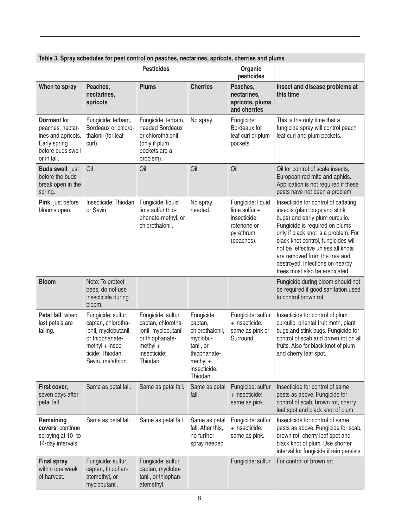| Table 3. Spray schedules for pest control on peaches, nectarines, apricots, cherries and plums                   |                                                                                                                                                 |                                                                                                                              |                                                                                                                             |                                                                                              |                                                                                                                                                                                                                                                                                                                                                                     |  |  |
|------------------------------------------------------------------------------------------------------------------|-------------------------------------------------------------------------------------------------------------------------------------------------|------------------------------------------------------------------------------------------------------------------------------|-----------------------------------------------------------------------------------------------------------------------------|----------------------------------------------------------------------------------------------|---------------------------------------------------------------------------------------------------------------------------------------------------------------------------------------------------------------------------------------------------------------------------------------------------------------------------------------------------------------------|--|--|
|                                                                                                                  |                                                                                                                                                 | <b>Pesticides</b>                                                                                                            |                                                                                                                             | Organic<br>pesticides                                                                        |                                                                                                                                                                                                                                                                                                                                                                     |  |  |
| When to spray                                                                                                    | Peaches,<br>nectarines,<br>apricots                                                                                                             | <b>Plums</b>                                                                                                                 | <b>Cherries</b>                                                                                                             | Peaches,<br>nectarines,<br>apricots, plums<br>and cherries                                   | Insect and disease problems at<br>this time                                                                                                                                                                                                                                                                                                                         |  |  |
| <b>Dormant</b> for<br>peaches, nectar-<br>ines and apricots.<br>Early spring<br>before buds swell<br>or in fall. | Fungicide: ferbam,<br>Bordeaux or chloro-<br>thalonil (for leaf<br>curl).                                                                       | Fungicide: ferbam,<br>needed Bordeaux<br>or chlorothalonil<br>(only if plum<br>pockets are a<br>problem).                    | No spray.                                                                                                                   | Fungicide:<br>Bordeaux for<br>leaf curl or plum<br>pockets.                                  | This is the only time that a<br>fungicide spray will control peach<br>leaf curl and plum pockets.                                                                                                                                                                                                                                                                   |  |  |
| <b>Buds swell, just</b><br>before the buds<br>break open in the<br>spring.                                       | Oil                                                                                                                                             | Oil                                                                                                                          | Oil                                                                                                                         | Oil                                                                                          | Oil for control of scale insects,<br>European red mite and aphids.<br>Application is not required if these<br>pests have not been a problem.                                                                                                                                                                                                                        |  |  |
| Pink, just before<br>blooms open.                                                                                | Insecticide: Thiodan<br>or Sevin.                                                                                                               | Fungicide: liquid<br>lime sulfur thio-<br>phanate-methyl, or<br>chlorothalonil.                                              | No spray<br>needed.                                                                                                         | Fungicide: liquid<br>lime sulfur +<br>insecticide:<br>rotenone or<br>pyrethrum<br>(peaches). | Insecticide for control of catfating<br>insects (plant bugs and stink<br>bugs) and early plum curculio.<br>Fungicide is required on plums<br>only if black knot is a problem. For<br>black knot control, fungicides will<br>not be effective unless all knots<br>are removed from the tree and<br>destroyed. Infections on nearby<br>trees must also be eradicated. |  |  |
| <b>Bloom</b>                                                                                                     | Note: To protect<br>bees, do not use<br>insecticide during<br>bloom.                                                                            |                                                                                                                              |                                                                                                                             |                                                                                              | Fungicide during bloom should not<br>be required if good sanitation used<br>to control brown rot.                                                                                                                                                                                                                                                                   |  |  |
| Petal fall, when<br>last petals are<br>falling.                                                                  | Fungicide: sulfur,<br>captan, chlorotha-<br>lonil, myclobutanil,<br>or thiophanate-<br>methyl + insec-<br>ticide: Thiodan,<br>Sevin, malathion. | Fungicide: sulfur,<br>captan, chlorotha-<br>lonil, myclobutanil<br>or thiophanate-<br>$methyl +$<br>insecticide:<br>Thiodan. | Fungicide:<br>captan,<br>chlorothalonil,<br>myclobu-<br>tanil, or<br>thiophanate-<br>$methyl +$<br>insecticide:<br>Thiodan. | Fungicide: sulfur<br>+ insecticide:<br>same as pink or<br>Surround.                          | Insecticide for control of plum<br>curculio, oriental fruit moth, plant<br>bugs and stink bugs. Fungicide for<br>control of scab and brown rot on all<br>fruits. Also for black knot of plum<br>and cherry leaf spot.                                                                                                                                               |  |  |
| First cover,<br>seven days after<br>petal fall.                                                                  | Same as petal fall.                                                                                                                             | Same as petal fall.                                                                                                          | Same as petal<br>fall.                                                                                                      | Fungicide: sulfur<br>+ insecticide:<br>same as pink.                                         | Insecticide for control of same<br>pests as above. Fungicide for<br>control of scab, brown rot, cherry<br>leaf spot and black knot of plum.                                                                                                                                                                                                                         |  |  |
| Remaining<br>covers, continue<br>spraying at 10- to<br>14-day intervals.                                         | Same as petal fall.                                                                                                                             | Same as petal fall.                                                                                                          | Same as petal<br>fall. After this,<br>no further<br>spray needed.                                                           | Fungicide: sulfur<br>+ insecticide:<br>same as pink.                                         | Insecticide for control of same<br>pests as above. Fungicide for scab,<br>brown rot, cherry leaf spot and<br>black knot of plum. Use shorter<br>interval for fungicide if rain persists.                                                                                                                                                                            |  |  |
| <b>Final spray</b><br>within one week<br>of harvest.                                                             | Fungicide: sulfur,<br>captan, thiophan-<br>atemethyl, or<br>myclobutanil.                                                                       | Fungicide: sulfur,<br>captan, myclobu-<br>tanil, or thiophan-<br>atemethyl.                                                  |                                                                                                                             | Fungicide: sulfur.                                                                           | For control of brown rot.                                                                                                                                                                                                                                                                                                                                           |  |  |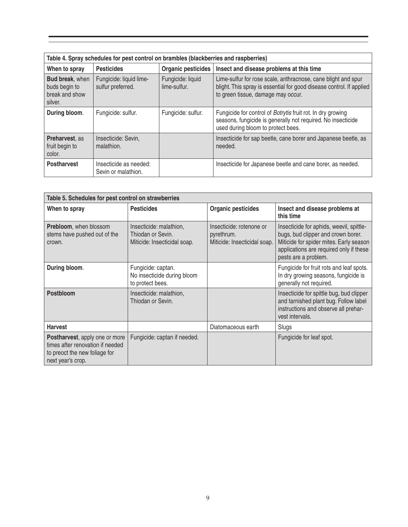| Table 4. Spray schedules for pest control on brambles (blackberries and raspberries) |                                               |                                   |                                                                                                                                                                             |  |  |  |  |
|--------------------------------------------------------------------------------------|-----------------------------------------------|-----------------------------------|-----------------------------------------------------------------------------------------------------------------------------------------------------------------------------|--|--|--|--|
| When to spray                                                                        | <b>Pesticides</b>                             | <b>Organic pesticides</b>         | Insect and disease problems at this time                                                                                                                                    |  |  |  |  |
| Bud break, when<br>buds begin to<br>break and show<br>silver.                        | Fungicide: liquid lime-<br>sulfur preferred.  | Fungicide: liquid<br>lime-sulfur. | Lime-sulfur for rose scale, anthracnose, cane blight and spur<br>blight. This spray is essential for good disease control. If applied<br>to green tissue, damage may occur. |  |  |  |  |
| During bloom.                                                                        | Fungicide: sulfur.                            | Fungicide: sulfur.                | Fungicide for control of Botrytis fruit rot. In dry growing<br>seasons, fungicide is generally not required. No insecticide<br>used during bloom to protect bees.           |  |  |  |  |
| <b>Preharvest, as</b><br>fruit begin to<br>color.                                    | Insecticide: Sevin,<br>malathion.             |                                   | Insecticide for sap beetle, cane borer and Japanese beetle, as<br>needed.                                                                                                   |  |  |  |  |
| <b>Postharvest</b>                                                                   | Insecticide as needed:<br>Sevin or malathion. |                                   | Insecticide for Japanese beetle and cane borer, as needed.                                                                                                                  |  |  |  |  |

| Table 5. Schedules for pest control on strawberries                                                                      |                                                                              |                                                                        |                                                                                                                                                                                              |  |  |  |  |
|--------------------------------------------------------------------------------------------------------------------------|------------------------------------------------------------------------------|------------------------------------------------------------------------|----------------------------------------------------------------------------------------------------------------------------------------------------------------------------------------------|--|--|--|--|
| When to spray                                                                                                            | <b>Pesticides</b>                                                            | <b>Organic pesticides</b>                                              | Insect and disease problems at<br>this time                                                                                                                                                  |  |  |  |  |
| <b>Prebloom, when blossom</b><br>stems have pushed out of the<br>crown.                                                  | Insecticide: malathion,<br>Thiodan or Sevin.<br>Miticide: Insecticidal soap. | Insecticide: rotenone or<br>pyrethrum.<br>Miticide: Insecticidal soap. | Insecticide for aphids, weevil, spittle-<br>bugs, bud clipper and crown borer.<br>Miticide for spider mites. Early season<br>applications are required only if these<br>pests are a problem. |  |  |  |  |
| During bloom.                                                                                                            | Fungicide: captan.<br>No insecticide during bloom<br>to protect bees.        |                                                                        | Fungicide for fruit rots and leaf spots.<br>In dry growing seasons, fungicide is<br>generally not required.                                                                                  |  |  |  |  |
| <b>Postbloom</b>                                                                                                         | Insecticide: malathion,<br>Thiodan or Sevin.                                 |                                                                        | Insecticide for spittle bug, bud clipper<br>and tarnished plant bug. Follow label<br>instructions and observe all prehar-<br>vest intervals.                                                 |  |  |  |  |
| <b>Harvest</b>                                                                                                           |                                                                              | Diatomaceous earth                                                     | Slugs                                                                                                                                                                                        |  |  |  |  |
| Postharvest, apply one or more<br>times after renovation if needed<br>to preoct the new foliage for<br>next year's crop. | Fungicide: captan if needed.                                                 |                                                                        | Fungicide for leaf spot.                                                                                                                                                                     |  |  |  |  |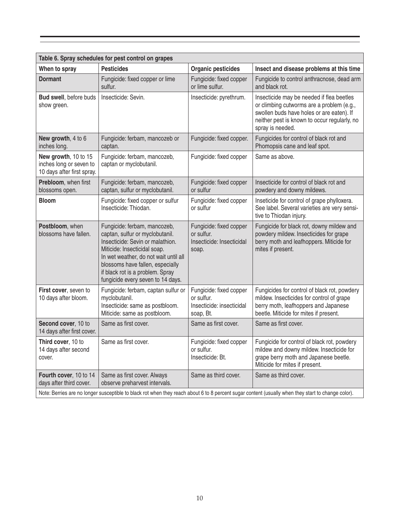| Table 6. Spray schedules for pest control on grapes                                                                                                |                                                                                                                                                                                                                                                                                           |                                                                                 |                                                                                                                                                                                                         |  |  |  |  |
|----------------------------------------------------------------------------------------------------------------------------------------------------|-------------------------------------------------------------------------------------------------------------------------------------------------------------------------------------------------------------------------------------------------------------------------------------------|---------------------------------------------------------------------------------|---------------------------------------------------------------------------------------------------------------------------------------------------------------------------------------------------------|--|--|--|--|
| When to spray                                                                                                                                      | <b>Pesticides</b>                                                                                                                                                                                                                                                                         | <b>Organic pesticides</b>                                                       | Insect and disease problems at this time                                                                                                                                                                |  |  |  |  |
| <b>Dormant</b>                                                                                                                                     | Fungicide: fixed copper or lime<br>sulfur.                                                                                                                                                                                                                                                | Fungicide: fixed copper<br>or lime sulfur.                                      | Fungicide to control anthracnose, dead arm<br>and black rot.                                                                                                                                            |  |  |  |  |
| <b>Bud swell, before buds</b><br>show green.                                                                                                       | Insecticide: Sevin.                                                                                                                                                                                                                                                                       | Insecticide: pyrethrum.                                                         | Insecticide may be needed if flea beetles<br>or climbing cutworms are a problem (e.g.,<br>swollen buds have holes or are eaten). If<br>neither pest is known to occur regularly, no<br>spray is needed. |  |  |  |  |
| New growth, 4 to 6<br>inches long.                                                                                                                 | Fungicide: ferbam, mancozeb or<br>captan.                                                                                                                                                                                                                                                 | Fungicide: fixed copper.                                                        | Fungicides for control of black rot and<br>Phomopsis cane and leaf spot.                                                                                                                                |  |  |  |  |
| New growth, 10 to 15<br>inches long or seven to<br>10 days after first spray.                                                                      | Fungicide: ferbam, mancozeb,<br>captan or myclobutanil.                                                                                                                                                                                                                                   | Fungicide: fixed copper                                                         | Same as above.                                                                                                                                                                                          |  |  |  |  |
| Prebloom, when first<br>blossoms open.                                                                                                             | Fungicide: ferbam, mancozeb,<br>captan, sulfur or myclobutanil.                                                                                                                                                                                                                           | Fungicide: fixed copper<br>or sulfur                                            | Insecticide for control of black rot and<br>powdery and downy mildews.                                                                                                                                  |  |  |  |  |
| <b>Bloom</b>                                                                                                                                       | Fungicide: fixed copper or sulfur<br>Insecticide: Thiodan.                                                                                                                                                                                                                                | Fungicide: fixed copper<br>or sulfur                                            | Inseticide for control of grape phylloxera.<br>See label. Several varieties are very sensi-<br>tive to Thiodan injury.                                                                                  |  |  |  |  |
| Postbloom, when<br>blossoms have fallen.                                                                                                           | Fungicide: ferbam, mancozeb,<br>captan, sulfur or myclobutanil.<br>Insecticide: Sevin or malathion.<br>Miticide: Insecticidal soap.<br>In wet weather, do not wait until all<br>blossoms have fallen, especially<br>if black rot is a problem. Spray<br>fungicide every seven to 14 days. | Fungicide: fixed copper<br>or sulfur.<br>Insecticide: Insecticidal<br>soap.     | Fungicide for black rot, downy mildew and<br>powdery mildew. Insecticides for grape<br>berry moth and leafhoppers. Miticide for<br>mites if present.                                                    |  |  |  |  |
| First cover, seven to<br>10 days after bloom.                                                                                                      | Fungicide: ferbam, captan sulfur or<br>myclobutanil.<br>Insecticide: same as postbloom.<br>Miticide: same as postbloom.                                                                                                                                                                   | Fungicide: fixed copper<br>or sulfur.<br>Insecticide: insecticidal<br>soap, Bt. | Fungicides for control of black rot, powdery<br>mildew. Insecticides for control of grape<br>berry moth, leafhoppers and Japanese<br>beetle. Miticide for mites if present.                             |  |  |  |  |
| Second cover, 10 to<br>14 days after first cover.                                                                                                  | Same as first cover.                                                                                                                                                                                                                                                                      | Same as first cover.                                                            | Same as first cover.                                                                                                                                                                                    |  |  |  |  |
| Third cover, 10 to<br>14 days after second<br>cover.                                                                                               | Same as first cover.                                                                                                                                                                                                                                                                      | Fungicide: fixed copper<br>or sulfur.<br>Insecticide: Bt.                       | Fungicide for control of black rot, powdery<br>mildew and downy mildew. Insecticide for<br>grape berry moth and Japanese beetle.<br>Miticide for mites if present.                                      |  |  |  |  |
| Fourth cover, 10 to 14<br>days after third cover.                                                                                                  | Same as first cover. Always<br>observe preharvest intervals.                                                                                                                                                                                                                              | Same as third cover.                                                            | Same as third cover.                                                                                                                                                                                    |  |  |  |  |
| Note: Berries are no longer susceptible to black rot when they reach about 6 to 8 percent sugar content (usually when they start to change color). |                                                                                                                                                                                                                                                                                           |                                                                                 |                                                                                                                                                                                                         |  |  |  |  |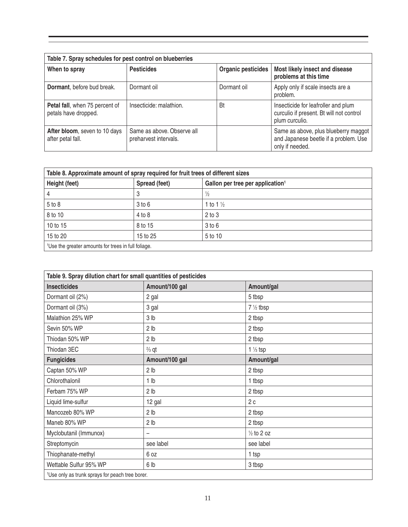| Table 7. Spray schedules for pest control on blueberries |                                                     |                    |                                                                                                   |  |  |  |  |
|----------------------------------------------------------|-----------------------------------------------------|--------------------|---------------------------------------------------------------------------------------------------|--|--|--|--|
| When to spray                                            | <b>Pesticides</b>                                   | Organic pesticides | Most likely insect and disease<br>problems at this time                                           |  |  |  |  |
| <b>Dormant</b> , before bud break.                       | Dormant oil                                         | Dormant oil        | Apply only if scale insects are a<br>problem.                                                     |  |  |  |  |
| Petal fall, when 75 percent of<br>petals have dropped.   | Insecticide: malathion.                             | Bt                 | Insecticide for leafroller and plum<br>curculio if present. Bt will not control<br>plum curculio. |  |  |  |  |
| After bloom, seven to 10 days<br>after petal fall.       | Same as above. Observe all<br>preharvest intervals. |                    | Same as above, plus blueberry maggot<br>and Japanese beetle if a problem. Use<br>only if needed.  |  |  |  |  |

| Table 8. Approximate amount of spray required for fruit trees of different sizes |               |                                              |  |  |  |  |
|----------------------------------------------------------------------------------|---------------|----------------------------------------------|--|--|--|--|
| Height (feet)                                                                    | Spread (feet) | Gallon per tree per application <sup>1</sup> |  |  |  |  |
|                                                                                  | 3             | $\frac{1}{2}$                                |  |  |  |  |
| $5$ to $8$                                                                       | $3$ to $6$    | 1 to 1 $\frac{1}{2}$                         |  |  |  |  |
| 8 to 10                                                                          | 4 to 8        | $2$ to $3$                                   |  |  |  |  |
| 10 to 15                                                                         | 8 to 15       | $3$ to $6$                                   |  |  |  |  |
| 15 to 20                                                                         | 15 to 25      | 5 to 10                                      |  |  |  |  |
| <sup>1</sup> Use the greater amounts for trees in full foliage.                  |               |                                              |  |  |  |  |

| Table 9. Spray dilution chart for small quantities of pesticides |                  |                       |  |  |  |  |
|------------------------------------------------------------------|------------------|-----------------------|--|--|--|--|
| <b>Insecticides</b>                                              | Amount/100 gal   | Amount/gal            |  |  |  |  |
| Dormant oil (2%)                                                 | 2 gal            | 5 tbsp                |  |  |  |  |
| Dormant oil (3%)                                                 | 3 gal            | $7\frac{1}{2}$ tbsp   |  |  |  |  |
| Malathion 25% WP                                                 | 3 <sub>lb</sub>  | 2 tbsp                |  |  |  |  |
| Sevin 50% WP                                                     | 2 <sub>lb</sub>  | 2 tbsp                |  |  |  |  |
| Thiodan 50% WP                                                   | 2 <sub>lb</sub>  | 2 tbsp                |  |  |  |  |
| Thiodan 3EC                                                      | $\frac{2}{3}$ qt | $1\frac{1}{3}$ tsp    |  |  |  |  |
| <b>Fungicides</b>                                                | Amount/100 gal   | Amount/gal            |  |  |  |  |
| Captan 50% WP                                                    | 2 <sub>lb</sub>  | 2 tbsp                |  |  |  |  |
| Chlorothalonil                                                   | 1 <sub>lb</sub>  | 1 tbsp                |  |  |  |  |
| Ferbam 75% WP                                                    | 2 <sub>lb</sub>  | 2 tbsp                |  |  |  |  |
| Liquid lime-sulfur                                               | 12 gal           | 2c                    |  |  |  |  |
| Mancozeb 80% WP                                                  | 2 <sub>lb</sub>  | 2 tbsp                |  |  |  |  |
| Maneb 80% WP                                                     | 2 <sub>lb</sub>  | 2 tbsp                |  |  |  |  |
| Myclobutanil (Immunox)                                           |                  | $\frac{1}{2}$ to 2 oz |  |  |  |  |
| Streptomycin                                                     | see label        | see label             |  |  |  |  |
| Thiophanate-methyl                                               | 6 oz             | 1 tsp                 |  |  |  |  |
| Wettable Sulfur 95% WP                                           | 6 lb             | 3 tbsp                |  |  |  |  |
| <sup>1</sup> Use only as trunk sprays for peach tree borer.      |                  |                       |  |  |  |  |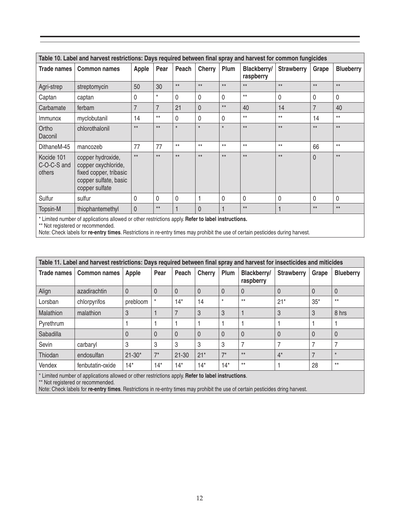| Table 10. Label and harvest restrictions: Days required between final spray and harvest for common fungicides |                                                                                                               |          |                |          |          |              |                          |                   |                |                  |
|---------------------------------------------------------------------------------------------------------------|---------------------------------------------------------------------------------------------------------------|----------|----------------|----------|----------|--------------|--------------------------|-------------------|----------------|------------------|
| <b>Trade names</b>                                                                                            | <b>Common names</b>                                                                                           | Apple    | Pear           | Peach    | Cherry   | Plum         | Blackberry/<br>raspberry | <b>Strawberry</b> | Grape          | <b>Blueberry</b> |
| Agri-strep                                                                                                    | streptomycin                                                                                                  | 50       | 30             | $**$     | $**$     | $**$         | $**$                     | $**$              | $**$           | $**$             |
| Captan                                                                                                        | captan                                                                                                        | 0        | $\star$        | 0        | 0        | $\Omega$     | $**$                     | $\Omega$          | $\Omega$       | $\Omega$         |
| Carbamate                                                                                                     | ferbam                                                                                                        | 7        | $\overline{7}$ | 21       | 0        | $**$         | 40                       | 14                | $\overline{7}$ | 40               |
| Immunox                                                                                                       | myclobutanil                                                                                                  | 14       | $**$           | 0        | 0        | $\mathbf{0}$ | $**$                     | $**$              | 14             | $**$             |
| Ortho<br>Daconil                                                                                              | chlorothalonil                                                                                                | $***$    | $**$           | $\star$  | $\star$  | $^\star$     | $**$                     | $**$              | $**$           | $**$             |
| DithaneM-45                                                                                                   | mancozeb                                                                                                      | 77       | 77             | $***$    | $***$    | $***$        | $**$                     | $**$              | 66             | $**$             |
| Kocide 101<br>C-O-C-S and<br>others                                                                           | copper hydroxide,<br>copper oxychloride,<br>fixed copper, tribasic<br>copper sulfate, basic<br>copper sulfate | $**$     | $**$           | $**$     | $**$     | $**$         | $**$                     | $**$              | $\Omega$       | $**$             |
| Sulfur                                                                                                        | sulfur                                                                                                        | $\Omega$ | $\Omega$       | $\Omega$ |          | $\Omega$     | $\Omega$                 | $\Omega$          | $\Omega$       | $\Omega$         |
| Topsin-M<br>.                                                                                                 | thiophantemethyl                                                                                              | $\Omega$ | $**$           |          | $\Omega$ |              | $**$                     |                   | $**$           | $**$             |

\* Limited number of applications allowed or other restrictions apply. **Refer to label instructions.**

\*\* Not registered or recommended.

Note: Check labels for **re-entry times**. Restrictions in re-entry times may prohibit the use of certain pesticides during harvest.

| Table 11. Label and harvest restrictions: Days required between final spray and harvest for insecticides and miticides                                                                                                         |                     |              |              |           |          |                |                          |                   |          |                  |
|--------------------------------------------------------------------------------------------------------------------------------------------------------------------------------------------------------------------------------|---------------------|--------------|--------------|-----------|----------|----------------|--------------------------|-------------------|----------|------------------|
| <b>Trade names</b>                                                                                                                                                                                                             | <b>Common names</b> | Apple        | Pear         | Peach     | Cherry   | Plum           | Blackberry/<br>raspberry | <b>Strawberry</b> | Grape    | <b>Blueberry</b> |
| Align                                                                                                                                                                                                                          | azadirachtin        | $\mathbf{0}$ | 0            | $\Omega$  | 0        | $\overline{0}$ | 0                        | $\theta$          | $\Omega$ | $\theta$         |
| Lorsban                                                                                                                                                                                                                        | chlorpyrifos        | prebloom     |              | $14*$     | 14       | $\star$        | $***$                    | $21*$             | $35*$    | $***$            |
| Malathion                                                                                                                                                                                                                      | malathion           | 3            |              |           | 3        | 3              |                          | 3                 | 3        | 8 hrs            |
| Pyrethrum                                                                                                                                                                                                                      |                     |              |              |           |          |                |                          |                   |          |                  |
| Sabadilla                                                                                                                                                                                                                      |                     | $\mathbf{0}$ | $\mathbf{0}$ | $\Omega$  | $\Omega$ | $\Omega$       | $\Omega$                 | $\mathbf 0$       | 0        | $\mathbf 0$      |
| Sevin                                                                                                                                                                                                                          | carbaryl            | 3            | 3            | 3         | 3        | 3              |                          |                   |          |                  |
| Thiodan                                                                                                                                                                                                                        | endosulfan          | $21 - 30*$   | $7^*$        | $21 - 30$ | $21*$    | $7*$           | $**$                     | $4^*$             |          | $\star$          |
| Vendex                                                                                                                                                                                                                         | fenbutatin-oxide    | $14*$        | $14*$        | $14*$     | $14*$    | $14*$          | $***$                    |                   | 28       | $**$             |
| which is a contract of the contract of the contract of the contract of the contract of the contract of the contract of the contract of the contract of the contract of the contract of the contract of the contract of the con |                     |              |              |           |          |                |                          |                   |          |                  |

\* Limited number of applications allowed or other restrictions apply. **Refer to label instructions**.

\*\* Not registered or recommended.

Note: Check labels for **re-entry times**. Restrictions in re-entry times may prohibit the use of certain pesticides dring harvest.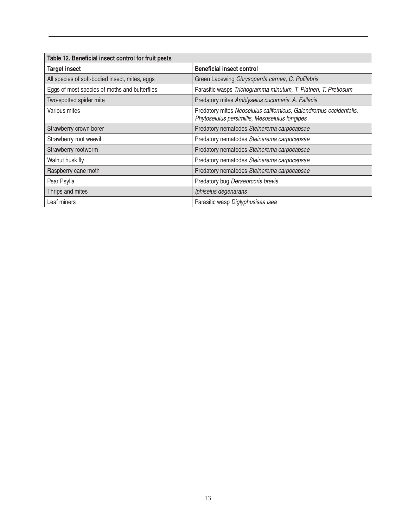| Table 12. Beneficial insect control for fruit pests |                                                                                                                      |  |  |  |  |  |  |  |
|-----------------------------------------------------|----------------------------------------------------------------------------------------------------------------------|--|--|--|--|--|--|--|
| <b>Target insect</b>                                | <b>Beneficial insect control</b>                                                                                     |  |  |  |  |  |  |  |
| All species of soft-bodied insect, mites, eggs      | Green Lacewing Chrysoperrla carnea, C. Rufilabris                                                                    |  |  |  |  |  |  |  |
| Eggs of most species of moths and butterflies       | Parasitic wasps Trichogramma minutum, T. Platneri, T. Pretiosum                                                      |  |  |  |  |  |  |  |
| Two-spotted spider mite                             | Predatory mites Amblyseius cucumeris, A. Fallacis                                                                    |  |  |  |  |  |  |  |
| Various mites                                       | Predatory mites Neoseiulus californicus, Galendromus occidentalis,<br>Phytoseiulus persimillis, Mesoseiulus longipes |  |  |  |  |  |  |  |
| Strawberry crown borer                              | Predatory nematodes Steinerema carpocapsae                                                                           |  |  |  |  |  |  |  |
| Strawberry root weevil                              | Predatory nematodes Steinerema carpocapsae                                                                           |  |  |  |  |  |  |  |
| Strawberry rootworm                                 | Predatory nematodes Steinerema carpocapsae                                                                           |  |  |  |  |  |  |  |
| Walnut husk fly                                     | Predatory nematodes Steinerema carpocapsae                                                                           |  |  |  |  |  |  |  |
| Raspberry cane moth                                 | Predatory nematodes Steinerema carpocapsae                                                                           |  |  |  |  |  |  |  |
| Pear Psylla                                         | Predatory bug Deraeorcoris brevis                                                                                    |  |  |  |  |  |  |  |
| Thrips and mites                                    | Iphiseius degenarans                                                                                                 |  |  |  |  |  |  |  |
| Leaf miners                                         | Parasitic wasp Diglyphusisea isea                                                                                    |  |  |  |  |  |  |  |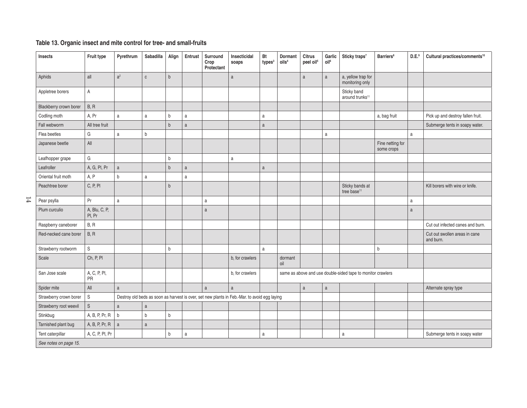## **Table 13. Organic insect and mite control for tree- and small-fruits**

| Insects                | Fruit type                | Pyrethrum                                                                                    | Sabadilla    | Align       | Entrust | Surround<br>Crop<br>Protectant | Insecticidal<br>soaps | Bt<br>types <sup>3</sup> | <b>Dormant</b><br>oils <sup>4</sup>                         | <b>Citrus</b><br>peel oil <sup>5</sup> | Garlic<br>oil <sup>6</sup> | Sticky traps <sup>7</sup>                  | <b>Barriers<sup>8</sup></b>    | D.E. <sup>9</sup> | Cultural practices/comments <sup>10</sup>  |
|------------------------|---------------------------|----------------------------------------------------------------------------------------------|--------------|-------------|---------|--------------------------------|-----------------------|--------------------------|-------------------------------------------------------------|----------------------------------------|----------------------------|--------------------------------------------|--------------------------------|-------------------|--------------------------------------------|
| Aphids                 | all                       | a <sup>2</sup>                                                                               | $\mathtt{C}$ | $\mathsf b$ |         |                                | $\mathsf{a}$          |                          |                                                             | $\mathsf a$                            | a                          | a, yellow trap for<br>monitoring only      |                                |                   |                                            |
| Appletree borers       | A                         |                                                                                              |              |             |         |                                |                       |                          |                                                             |                                        |                            | Sticky band<br>around trunks <sup>11</sup> |                                |                   |                                            |
| Blackberry crown borer | B, R                      |                                                                                              |              |             |         |                                |                       |                          |                                                             |                                        |                            |                                            |                                |                   |                                            |
| Codling moth           | A, Pr                     | a                                                                                            | a            | b           | a       |                                |                       | a                        |                                                             |                                        |                            |                                            | a, bag fruit                   |                   | Pick up and destroy fallen fruit.          |
| Fall webworm           | All tree fruit            |                                                                                              |              | b           | a       |                                |                       | a                        |                                                             |                                        |                            |                                            |                                |                   | Submerge tents in soapy water.             |
| Flea beetles           | G                         | a                                                                                            | b            |             |         |                                |                       |                          |                                                             |                                        | a                          |                                            |                                | $\mathsf a$       |                                            |
| Japanese beetle        | All                       |                                                                                              |              |             |         |                                |                       |                          |                                                             |                                        |                            |                                            | Fine netting for<br>some crops |                   |                                            |
| Leafhopper grape       | G                         |                                                                                              |              | b           |         |                                | a                     |                          |                                                             |                                        |                            |                                            |                                |                   |                                            |
| Leafroller             | A, G, PI, Pr              | a                                                                                            |              | $\mathsf b$ | a       |                                |                       | a                        |                                                             |                                        |                            |                                            |                                |                   |                                            |
| Oriental fruit moth    | A, P                      | $\mathsf{b}$                                                                                 | a            |             | a       |                                |                       |                          |                                                             |                                        |                            |                                            |                                |                   |                                            |
| Peachtree borer        | C, P, P                   |                                                                                              |              | $\mathsf b$ |         |                                |                       |                          |                                                             |                                        |                            | Sticky bands at<br>tree base <sup>11</sup> |                                |                   | Kill borers with wire or knife.            |
| Pear psylla            | Pr                        | a                                                                                            |              |             |         | a                              |                       |                          |                                                             |                                        |                            |                                            |                                | a                 |                                            |
| Plum curculio          | A, Blu, C, P,<br>Pl, Pr   |                                                                                              |              |             |         | a                              |                       |                          |                                                             |                                        |                            |                                            |                                | $\mathsf{a}$      |                                            |
| Raspberry caneborer    | B, R                      |                                                                                              |              |             |         |                                |                       |                          |                                                             |                                        |                            |                                            |                                |                   | Cut out infected canes and burn.           |
| Red-necked cane borer  | B, R                      |                                                                                              |              |             |         |                                |                       |                          |                                                             |                                        |                            |                                            |                                |                   | Cut out swollen areas in cane<br>and burn. |
| Strawberry rootworm    | ${\sf S}$                 |                                                                                              |              | b           |         |                                |                       | a                        |                                                             |                                        |                            |                                            | b                              |                   |                                            |
| Scale                  | Ch, P, PI                 |                                                                                              |              |             |         |                                | b, for crawlers       |                          | dormant<br>oil                                              |                                        |                            |                                            |                                |                   |                                            |
| San Jose scale         | A, C, P, Pl,<br><b>PR</b> |                                                                                              |              |             |         |                                | b, for crawlers       |                          | same as above and use double-sided tape to monitor crawlers |                                        |                            |                                            |                                |                   |                                            |
| Spider mite            | All                       | a                                                                                            |              |             |         | a                              | a                     |                          |                                                             | a                                      | a                          |                                            |                                |                   | Alternate spray type                       |
| Strawberry crown borer | S                         | Destroy old beds as soon as harvest is over, set new plants in Feb.-Mar. to avoid egg laying |              |             |         |                                |                       |                          |                                                             |                                        |                            |                                            |                                |                   |                                            |
| Strawberry root weevil | S                         | a                                                                                            | $\mathsf{a}$ |             |         |                                |                       |                          |                                                             |                                        |                            |                                            |                                |                   |                                            |
| Stinkbug               | A, B, P, Pr, R            | b                                                                                            | b            | b           |         |                                |                       |                          |                                                             |                                        |                            |                                            |                                |                   |                                            |
| Tarnished plant bug    | A, B, P, Pr, R            | a                                                                                            | a            |             |         |                                |                       |                          |                                                             |                                        |                            |                                            |                                |                   |                                            |
| Tent caterpillar       | A, C, P, Pl, Pr           |                                                                                              |              | b           | a       |                                |                       | a                        |                                                             |                                        |                            | a                                          |                                |                   | Submerge tents in soapy water              |
| See notes on page 15.  |                           |                                                                                              |              |             |         |                                |                       |                          |                                                             |                                        |                            |                                            |                                |                   |                                            |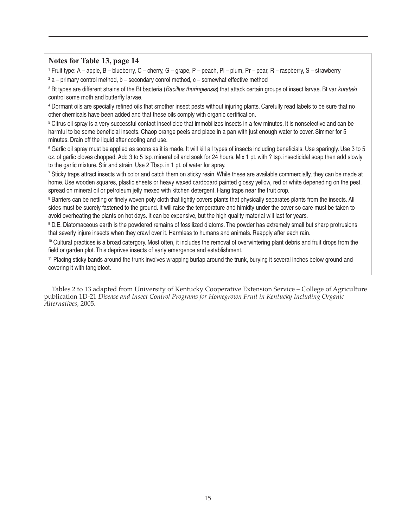## **Notes for Table 13, page 14**

1 Fruit type: A – apple, B – blueberry, C – cherry, G – grape, P – peach, Pl – plum, Pr – pear, R – raspberry, S – strawberry 2 a – primary control method, b – secondary conrol method, c – somewhat effective method

<sup>3</sup> Bt types are different strains of the Bt bacteria (*Bacillus thuringiensis*) that attack certain groups of insect larvae. Bt var *kurstaki* control some moth and butterfly larvae.

4 Dormant oils are specially refined oils that smother insect pests without injuring plants. Carefully read labels to be sure that no other chemicals have been added and that these oils comply with organic certification.

5 Citrus oil spray is a very successful contact insecticide that immobilizes insects in a few minutes. It is nonselective and can be harmful to be some beneficial insects. Chaop orange peels and place in a pan with just enough water to cover. Simmer for 5 minutes. Drain off the liquid after cooling and use.

6 Garlic oil spray must be applied as soons as it is made. It will kill all types of insects including beneficials. Use sparingly. Use 3 to 5 oz. of garlic cloves chopped. Add 3 to 5 tsp. mineral oil and soak for 24 hours. Mix 1 pt. with ? tsp. insecticidal soap then add slowly to the garlic mixture. Stir and strain. Use 2 Tbsp. in 1 pt. of water for spray.

7 Sticky traps attract insects with color and catch them on sticky resin. While these are available commercially, they can be made at home. Use wooden squares, plastic sheets or heavy waxed cardboard painted glossy yellow, red or white depeneding on the pest. spread on mineral oil or petroleum jelly mexed with kitchen detergent. Hang traps near the fruit crop.

<sup>8</sup> Barriers can be netting or finely woven poly cloth that lightly covers plants that physically separates plants from the insects. All sides must be sucrely fastened to the ground. It will raise the temperature and himidty under the cover so care must be taken to avoid overheating the plants on hot days. It can be expensive, but the high quality material will last for years.

9 D.E. Diatomaceous earth is the powdered remains of fossilized diatoms. The powder has extremely small but sharp protrusions that severly injure insects when they crawl over it. Harmless to humans and animals. Reapply after each rain.

<sup>10</sup> Cultural practices is a broad catergory. Most often, it includes the removal of overwintering plant debris and fruit drops from the field or garden plot. This deprives insects of early emergence and establishment.

11 Placing sticky bands around the trunk involves wrapping burlap around the trunk, burying it several inches below ground and covering it with tanglefoot.

Tables 2 to 13 adapted from University of Kentucky Cooperative Extension Service – College of Agriculture publication 1D-21 *Disease and Insect Control Programs for Homegrown Fruit in Kentucky Including Organic Alternatives*, 2005.